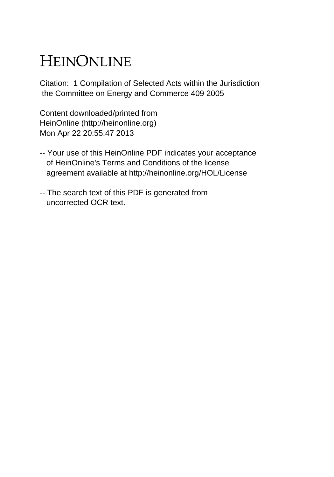# HEINONLINE

Citation: 1 Compilation of Selected Acts within the Jurisdiction the Committee on Energy and Commerce 409 2005

Content downloaded/printed from HeinOnline (http://heinonline.org) Mon Apr 22 20:55:47 2013

- -- Your use of this HeinOnline PDF indicates your acceptance of HeinOnline's Terms and Conditions of the license agreement available at http://heinonline.org/HOL/License
- -- The search text of this PDF is generated from uncorrected OCR text.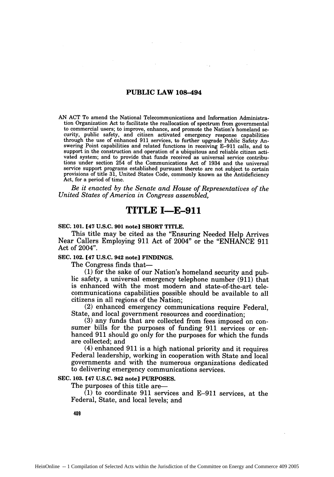## **PUBLIC LAW 108-494**

AN **ACT** To amend the National Telecommunications and Information Administration Organization Act to facilitate the reallocation of spectrum from governmental to commercial users; to improve, enhance, and promote the Nation's homeland se- curity, public safety, and citizen activated emergency response capabilities through the use of enhanced 911 services, to further upgrade Public Safety Answering Point capabilities and related functions in receiving E-911 calls, and to support in the construction and operation of a ubiquitous and reliable citizen activated system; and to provide that funds received as universal service contributions under section 254 of the Communications Act of 1934 and the universal service support programs established pursuant thereto are not subject to certain provisions of title 31, United States Code, commonly known as the Antideficiency Act, for a period of time.

*Be it enacted by the Senate and House of Representatives of the United States of America in Congress assembled,*

# **TITLE I-E-911**

## **SEC; 101. [47 U.S.C. 901 note] SHORT TITLE.**

This title may be cited as the "Ensuring Needed Help Arrives Near Callers Employing **911** Act of 2004" or the **"ENHANCE 911** Act of 2004".

**SEC.** 102. [47 **U.S.C.** 942 note] **FINDINGS.**

The Congress finds that-

**(1)** for the sake of our Nation's homeland security and public safety, a universal emergency telephone number (911) that is enhanced with the most modern and state-of-the-art telecommunications capabilities possible should be available to all citizens in all regions of the Nation;

(2) enhanced emergency communications require Federal, State, and local government resources and coordination;

(3) any funds that are collected from fees imposed on consumer bills for the purposes of funding 911 services or enhanced 911 should go only for the purposes for which the funds are collected; and

(4) enhanced 911 is a high national priority and it requires Federal leadership, working in cooperation with State and local governments and with the numerous organizations dedicated to delivering emergency communications services.

## **SEC. 103. [47 U.S.C. 942 note] PURPOSES.**

The purposes of this title are—

**(1)** to coordinate 911 services and E-911 services, at the Federal, State, and local levels; and

409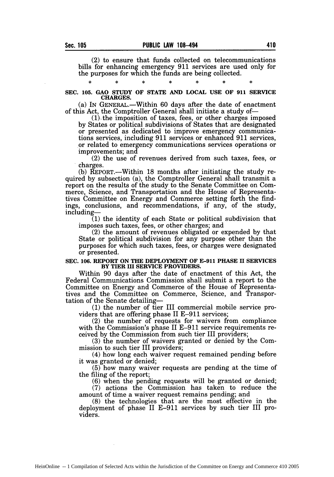(2) to ensure that funds collected on telecommunications bills for enhancing emergency 911 services are used only for the purposes for which the funds are being collected.

**SEC. 105. GAO STUDY OF STATE AND LOCAL USE OF 911 SERVICE CHARGES.**

(a) IN GENERAL.-Within 60 days after the date of enactment of this Act, the Comptroller General shall initiate a study of-

(1),the imposition of taxes, fees, or other charges imposed by States or political subdivisions of States that are designated or presented as dedicated to improve emergency communications services, including 911 services or enhanced 911 services, or related to emergency communications services operations or improvements; and

(2) the use of revenues derived from such taxes, fees, or charges.

(b) REPORT.-Within 18 months after initiating the study required by subsection (a), the Comptroller General shall transmit a report on the results of the study to the Senate Committee on Commerce, Science, and Transportation and the House of Representatives Committee on Energy and Commerce setting forth the findings, conclusions, and recommendations, if any, of the study, including-

**(1)** the identity of each State or political subdivision that imposes such taxes, fees, or other charges; and

(2) the amount of revenues obligated or expended by that State or political subdivision for any purpose other than the purposes for which such taxes, fees, or charges were designated or presented.

#### **SEC. 106. REPORT ON THE DEPLOYMENT OF E-911 PHASE II SERVICES BY TIER III SERVICE PROVIDERS.**

Within 90 days after the date of enactment of this Act, the Federal Communications Commission shall submit a report to the Committee on Energy and Commerce of the House of Representatives and the Committee on Commerce, Science, and Transportation of the Senate detailing-

**(1)** the number of tier III commercial mobile service providers that are offering phase II **E-911** services;

(2) the number of requests for waivers from compliance with the Commission's phase II **E-911** service requirements received **by** the Commission from such tier III providers;

**(3)** the number of waivers granted or denied **by** the Commission to such tier III providers;

(4) how long each waiver request remained pending before it was granted or denied;

**(5)** how many waiver requests are pending at the time of the filing of the report;

**(6)** when the pending requests will be granted or denied;

**(7)** actions the Commission has taken to reduce the amount of time a waiver request remains pending; and

**(8)** the technologies that are the most effective in the deployment of phase II **E-911** services **by** such tier III providers.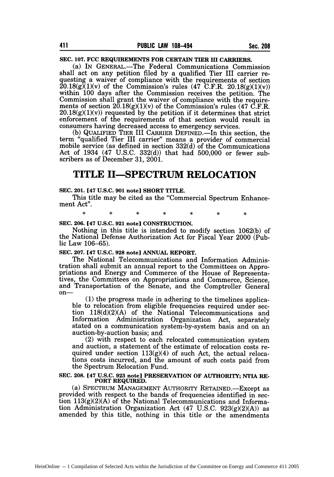## **SEC. 107. FCC REQUIREMENTS FOR CERTAIN TIER HI CARRIERS.**

(a) IN GENERAL.-The Federal Communications Commission shall act on any petition filed **by** a qualified Tier III carrier requesting a waiver of compliance with the requirements of section  $20.18(g)(1)(v)$  of the Commission's rules (47 C.F.R. 20.18(g)(1)(v)) within 100 days after the Commission receives the petition. The Commission shall grant the waiver of compliance with the requirements of section  $2\overline{0.18(g)(1)}(v)$  of the Commission's rules (47 C.F.R.  $20.18(g)(1)(v)$  requested by the petition if it determines that strict enforcement of the requirements of that section would result in consumers having decreased access to emergency services.

(b) QUALIFIED TIER III CARRIER DEFINED.—In this section, the term "qualified Tier III carrier" means a provider of commercial mobile service (as defined in section 332(d) of the Communications Act of 1934 (47 U.S.C. 332(d)) that had 500,000 or fewer subscribers as of December 31, 2001.

## **TITLE II-SPECTRUM RELOCATION**

### **SEC.** 201. [47 **U.S.C. 901 note] SHORT TITLE.**

This title may be cited as the "Commercial Spectrum Enhancement Act".

> $\ast$ sk.

**SEC. 206. [47 U.S.C. 921 note] CONSTRUCTION.**

Nothing in this title is intended to modify section 1062(b) of the National Defense Authorization Act for Fiscal Year 2000 (Pub- lic Law 106-65).

#### **SEC. 207. [47 U.S.C. 928 note] ANNUAL REPORT.**

The National Telecommunications and Information Administration shall submit an annual report to the Committees on Appropriations and Energy and Commerce of the House of Representatives, the Committees on Appropriations and Commerce, Science, and Transportation of the Senate, and the Comptroller General on-

**(1)** the progress made in adhering to the timelines applica- ble to relocation from eligible frequencies required under section 118(d)(2)(A) of the National Telecommunications and Information Administration Organization Act, separately stated on a communication system-by-system basis and on an auction-by-auction basis; and

(2) with respect to each relocated communication system and auction, a statement of the estimate of relocation costs required under section  $113(g)(4)$  of such Act, the actual relocations costs incurred, and the amount of such costs paid from the Spectrum Relocation Fund.

#### **SEC. 208. [47 U.S.C. 923 note] PRESERVATION OF AUTHORITY; NTIA RE-PORT REQUIRED.**

(a) SPECTRUM MANAGEMENT AUTHORITY RETAINED.-Except as provided with respect to the bands of frequencies identified in section 113(g)(2)(A) of the National Telecommunications and Information Administration Organization Act  $(47 \text{ U.S.C. } 923(g)(2)(A))$  as amended by this title, nothing in this title or the amendments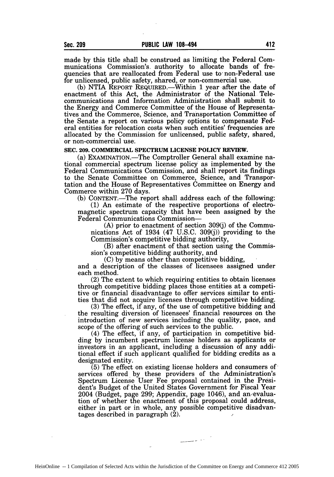made by this title shall be construed as limiting the Federal Communications Commission's. authority to allocate bands of frequencies that are reallocated from Federal use **to-** non-Federal. use for unlicensed, public safety, shared, or non-commercial use.

(b) NTIA REPORT REQUIRED.-Within 1 year after the date of enactment of this Act, the Administrator of the National Telecommunications and Information Administration shall submit to the Energy and Commerce Committee of the House of Representatives and the Commerce, Science, and Transportation Committee of the Senate a report on various policy options to compensate Federal entities for relocation costs when such entities' frequencies are allocated by the Commission for unlicensed, public safety, shared, or non-commercial use.

#### **SEC. 209. COMMERCIAL SPECTRUM LICENSE POLICY REVIEW.**

(a) **EXAMINATON.-The** Comptroller General shall examine national commercial spectrum license policy as implemented **by** the Federal Communications Commission, and shall report its findings to the Senate Committee on Commerce, Science, and Transportation and the House of Representatives Committee on Energy and Commerce within **270** days.

**(b)** CONTENT.-The report shall address each of the following:

**(1)** An estimate of the respective proportions of electromagnetic spectrum capacity that have been assigned **by** the Federal Communications Commission-

 $(A)$  prior to enactment of section  $309(j)$  of the Communications Act of 1934 (47 U.S.C. 309(j)) providing to the Commission's competitive bidding authority,

(B) after enactment of that section using the Commission's competitive bidding authority, and

**(C) by** means other than competitive bidding,

and a description of the classes of licensees assigned under each method.

(2) The extent to which requiring entities to obtain licenses through competitive bidding places those entities at a competitive or financial disadvantage to offer services similar to entities that did not acquire licenses through competitive bidding.

**(3)** The effect, if any, of the use of competitive bidding and the resulting diversion of licensees' financial resources on the introduction of new services including the quality, pace, and scope of the offering of such services to the public.

(4) The effect, if any, of participation in competitive bidding **by** incumbent spectrum license holders as applicants or investors in an applicant, including a discussion of any additional effect if such applicant qualified for bidding credits as a designated entity.

**(5)** The effect on existing license holders and consumers of services offered **by** these providers of the Administration's Spectrum License User Fee proposal contained in the President's Budget of the United States Government for Fiscal Year 2004 (Budget, page **299;** Appendix, page 1046), and an'evaluation of whether the enactment of this proposal could address, either in part or in whole, any possible competitive disadvantages described in paragraph (2).

 $\frac{1}{2}$  .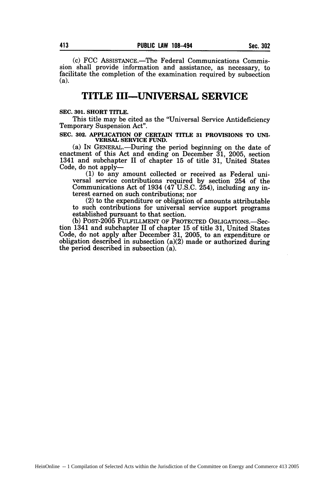(c) FCC ASSISTANCE.-The Federal Communications Commission shall provide information and assistance, as necessary, to facilitate the completion of the examination required by subsection (a).

# **TITLE 111-UNIVERSAL SERVICE**

#### **SEC. 301.** SHORT TITLE.

This title may be cited as the "Universal Service Antideficiency Temporary Suspension Act".

#### **SEC. 302. APPLICATION OF CERTAIN TITLE 31 PROVISIONS TO UNI-VERSAL** SERVICE **FUND.**

(a) IN GENERAL.-During the period beginning on the date of enactment of this Act and ending on December **31, 2005,** section 1341 and subchapter II of chapter **15** of title **31,** United States Code, do not apply-

**(1)** to any amount collected or received as Federal **uni**versal service contributions required **by** section 254 of the Communications Act of 1934 (47 **U.S.C.** 254), including any interest earned on such contributions; nor

(2) to the expenditure or obligation of amounts attributable to such contributions for universal service support programs established pursuant to that section.

**(b) POST-2005** FULFILLMENT OF PROTECTED OBLIGATIONS.-Section 1341 and subchapter II of chapter **15** of title **31,** United States Code, do not apply after December **31, 2005,** to an expenditure or obligation described in subsection (a)(2) made or authorized during the period described in subsection (a).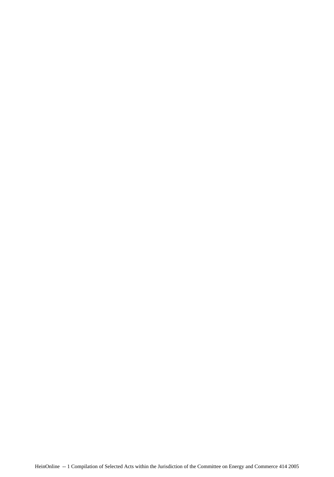HeinOnline -- 1 Compilation of Selected Acts within the Jurisdiction of the Committee on Energy and Commerce 414 2005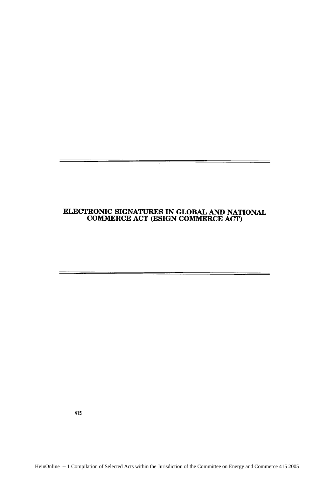## ELECTRONIC **SIGNATURES IN** GLOBAL **AND NATIONAL** COMMERCE **ACT** (ESIGN **COMMERCE ACT)**

<del>. . . . . . . . .</del>

415

 $\frac{1}{\sqrt{2\pi}}\left(\frac{1}{\sqrt{2\pi}}\right)^{2}=\frac{1}{\sqrt{2\pi}}\left(\frac{1}{\sqrt{2\pi}}\right)^{2}=\frac{1}{\sqrt{2\pi}}\left(\frac{1}{\sqrt{2\pi}}\right)^{2}=\frac{1}{\sqrt{2\pi}}\left(\frac{1}{\sqrt{2\pi}}\right)^{2}=\frac{1}{\sqrt{2\pi}}\left(\frac{1}{\sqrt{2\pi}}\right)^{2}=\frac{1}{\sqrt{2\pi}}\left(\frac{1}{\sqrt{2\pi}}\right)^{2}=\frac{1}{\sqrt{2\pi}}\left(\frac{1}{\sqrt{2\pi}}\right$ 

 $\sim$   $\sim$